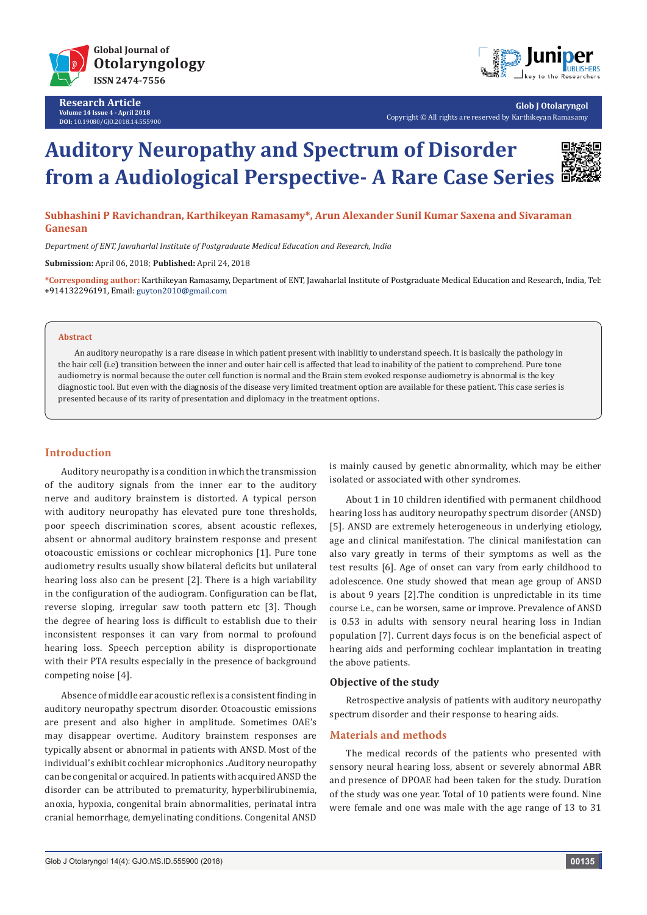

**Research Article Volume 14 Issue 4 - April 2018 DOI:** [10.19080/GJO.2018.14.555](http://dx.doi.org/10.19080/GJO.2018.14.555900)900



**Glob J Otolaryngol** Copyright © All rights are reserved by Karthikeyan Ramasamy

# **Auditory Neuropathy and Spectrum of Disorder from a Audiological Perspective- A Rare Case Series**



**Subhashini P Ravichandran, Karthikeyan Ramasamy\*, Arun Alexander Sunil Kumar Saxena and Sivaraman Ganesan**

*Department of ENT, Jawaharlal Institute of Postgraduate Medical Education and Research, India*

**Submission:** April 06, 2018; **Published:** April 24, 2018

**\*Corresponding author:** Karthikeyan Ramasamy, Department of ENT, Jawaharlal Institute of Postgraduate Medical Education and Research, India, Tel: +914132296191, Email:

#### **Abstract**

An auditory neuropathy is a rare disease in which patient present with inablitiy to understand speech. It is basically the pathology in the hair cell (i.e) transition between the inner and outer hair cell is affected that lead to inability of the patient to comprehend. Pure tone audiometry is normal because the outer cell function is normal and the Brain stem evoked response audiometry is abnormal is the key diagnostic tool. But even with the diagnosis of the disease very limited treatment option are available for these patient. This case series is presented because of its rarity of presentation and diplomacy in the treatment options.

## **Introduction**

Auditory neuropathy is a condition in which the transmission of the auditory signals from the inner ear to the auditory nerve and auditory brainstem is distorted. A typical person with auditory neuropathy has elevated pure tone thresholds, poor speech discrimination scores, absent acoustic reflexes, absent or abnormal auditory brainstem response and present otoacoustic emissions or cochlear microphonics [1]. Pure tone audiometry results usually show bilateral deficits but unilateral hearing loss also can be present [2]. There is a high variability in the configuration of the audiogram. Configuration can be flat, reverse sloping, irregular saw tooth pattern etc [3]. Though the degree of hearing loss is difficult to establish due to their inconsistent responses it can vary from normal to profound hearing loss. Speech perception ability is disproportionate with their PTA results especially in the presence of background competing noise [4].

Absence of middle ear acoustic reflex is a consistent finding in auditory neuropathy spectrum disorder. Otoacoustic emissions are present and also higher in amplitude. Sometimes OAE's may disappear overtime. Auditory brainstem responses are typically absent or abnormal in patients with ANSD. Most of the individual's exhibit cochlear microphonics .Auditory neuropathy can be congenital or acquired. In patients with acquired ANSD the disorder can be attributed to prematurity, hyperbilirubinemia, anoxia, hypoxia, congenital brain abnormalities, perinatal intra cranial hemorrhage, demyelinating conditions. Congenital ANSD

is mainly caused by genetic abnormality, which may be either isolated or associated with other syndromes.

About 1 in 10 children identified with permanent childhood hearing loss has auditory neuropathy spectrum disorder (ANSD) [5]. ANSD are extremely heterogeneous in underlying etiology, age and clinical manifestation. The clinical manifestation can also vary greatly in terms of their symptoms as well as the test results [6]. Age of onset can vary from early childhood to adolescence. One study showed that mean age group of ANSD is about 9 years [2].The condition is unpredictable in its time course i.e., can be worsen, same or improve. Prevalence of ANSD is 0.53 in adults with sensory neural hearing loss in Indian population [7]. Current days focus is on the beneficial aspect of hearing aids and performing cochlear implantation in treating the above patients.

#### **Objective of the study**

Retrospective analysis of patients with auditory neuropathy spectrum disorder and their response to hearing aids.

## **Materials and methods**

The medical records of the patients who presented with sensory neural hearing loss, absent or severely abnormal ABR and presence of DPOAE had been taken for the study. Duration of the study was one year. Total of 10 patients were found. Nine were female and one was male with the age range of 13 to 31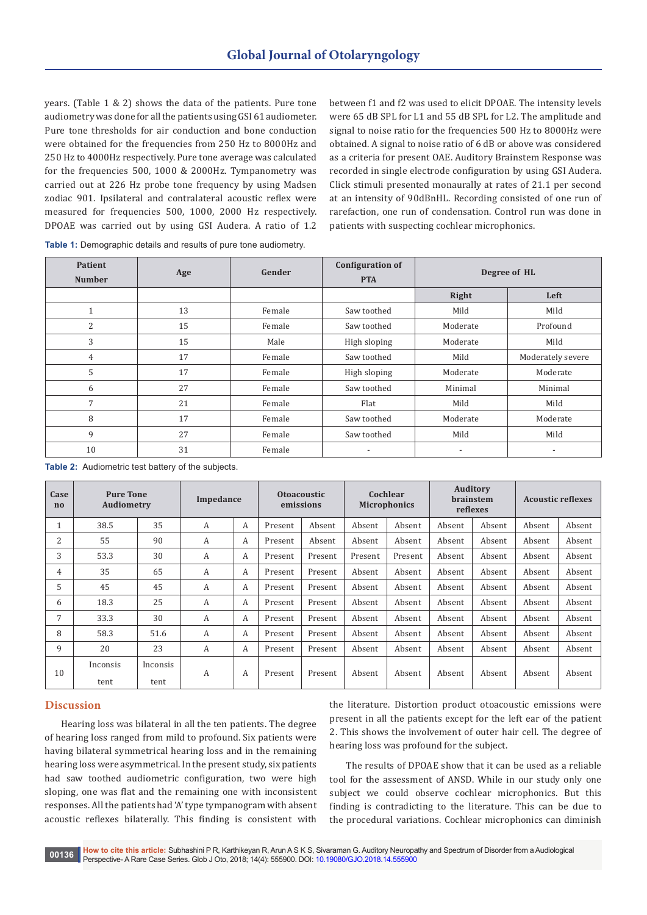years. (Table 1 & 2) shows the data of the patients. Pure tone audiometry was done for all the patients using GSI 61 audiometer. Pure tone thresholds for air conduction and bone conduction were obtained for the frequencies from 250 Hz to 8000Hz and 250 Hz to 4000Hz respectively. Pure tone average was calculated for the frequencies 500, 1000 & 2000Hz. Tympanometry was carried out at 226 Hz probe tone frequency by using Madsen zodiac 901. Ipsilateral and contralateral acoustic reflex were measured for frequencies 500, 1000, 2000 Hz respectively. DPOAE was carried out by using GSI Audera. A ratio of 1.2 between f1 and f2 was used to elicit DPOAE. The intensity levels were 65 dB SPL for L1 and 55 dB SPL for L2. The amplitude and signal to noise ratio for the frequencies 500 Hz to 8000Hz were obtained. A signal to noise ratio of 6 dB or above was considered as a criteria for present OAE. Auditory Brainstem Response was recorded in single electrode configuration by using GSI Audera. Click stimuli presented monaurally at rates of 21.1 per second at an intensity of 90dBnHL. Recording consisted of one run of rarefaction, one run of condensation. Control run was done in patients with suspecting cochlear microphonics.

| Table 1: Demographic details and results of pure tone audiometry. |  |  |
|-------------------------------------------------------------------|--|--|
|-------------------------------------------------------------------|--|--|

| <b>Patient</b><br><b>Number</b> | Age | Gender | <b>Configuration of</b><br><b>PTA</b> | Degree of HL |                   |
|---------------------------------|-----|--------|---------------------------------------|--------------|-------------------|
|                                 |     |        |                                       | Right        | Left              |
| $\mathbf{1}$                    | 13  | Female | Saw toothed                           | Mild         | Mild              |
| 2                               | 15  | Female | Saw toothed                           | Moderate     | Profound          |
| 3                               | 15  | Male   | High sloping                          | Moderate     | Mild              |
| $\overline{4}$                  | 17  | Female | Saw toothed                           | Mild         | Moderately severe |
| 5                               | 17  | Female | High sloping                          | Moderate     | Moderate          |
| 6                               | 27  | Female | Saw toothed                           | Minimal      | Minimal           |
| 7                               | 21  | Female | Flat                                  | Mild         | Mild              |
| 8                               | 17  | Female | Saw toothed                           | Moderate     | Moderate          |
| 9                               | 27  | Female | Saw toothed                           | Mild         | Mild              |
| 10                              | 31  | Female |                                       | ٠            |                   |

**Table 2:** Audiometric test battery of the subjects.

| Case<br>$\mathbf{n}$ |                  | <b>Pure Tone</b><br><b>Audiometry</b> |   | Impedance |         | <b>Otoacoustic</b><br>emissions |         | Cochlear<br><b>Microphonics</b> |        | <b>Auditory</b><br><b>brainstem</b><br>reflexes |        | <b>Acoustic reflexes</b> |  |
|----------------------|------------------|---------------------------------------|---|-----------|---------|---------------------------------|---------|---------------------------------|--------|-------------------------------------------------|--------|--------------------------|--|
| 1                    | 38.5             | 35                                    | A | A         | Present | Absent                          | Absent  | Absent                          | Absent | Absent                                          | Absent | Absent                   |  |
| 2                    | 55               | 90                                    | A | A         | Present | Absent                          | Absent  | Absent                          | Absent | Absent                                          | Absent | Absent                   |  |
| 3                    | 53.3             | 30                                    | A | A         | Present | Present                         | Present | Present                         | Absent | Absent                                          | Absent | Absent                   |  |
| 4                    | 35               | 65                                    | A | A         | Present | Present                         | Absent  | Absent                          | Absent | Absent                                          | Absent | Absent                   |  |
| 5                    | 45               | 45                                    | A | A         | Present | Present                         | Absent  | Absent                          | Absent | Absent                                          | Absent | Absent                   |  |
| 6                    | 18.3             | 25                                    | A | A         | Present | Present                         | Absent  | Absent                          | Absent | Absent                                          | Absent | Absent                   |  |
| 7                    | 33.3             | 30                                    | A | A         | Present | Present                         | Absent  | Absent                          | Absent | Absent                                          | Absent | Absent                   |  |
| 8                    | 58.3             | 51.6                                  | A | A         | Present | Present                         | Absent  | Absent                          | Absent | Absent                                          | Absent | Absent                   |  |
| 9                    | 20               | 23                                    | A | A         | Present | Present                         | Absent  | Absent                          | Absent | Absent                                          | Absent | Absent                   |  |
| 10                   | Inconsis<br>tent | Inconsis<br>tent                      | A | A         | Present | Present                         | Absent  | Absent                          | Absent | Absent                                          | Absent | Absent                   |  |

## **Discussion**

Hearing loss was bilateral in all the ten patients. The degree of hearing loss ranged from mild to profound. Six patients were having bilateral symmetrical hearing loss and in the remaining hearing loss were asymmetrical. In the present study, six patients had saw toothed audiometric configuration, two were high sloping, one was flat and the remaining one with inconsistent responses. All the patients had 'A' type tympanogram with absent acoustic reflexes bilaterally. This finding is consistent with

the literature. Distortion product otoacoustic emissions were present in all the patients except for the left ear of the patient 2. This shows the involvement of outer hair cell. The degree of hearing loss was profound for the subject.

The results of DPOAE show that it can be used as a reliable tool for the assessment of ANSD. While in our study only one subject we could observe cochlear microphonics. But this finding is contradicting to the literature. This can be due to the procedural variations. Cochlear microphonics can diminish